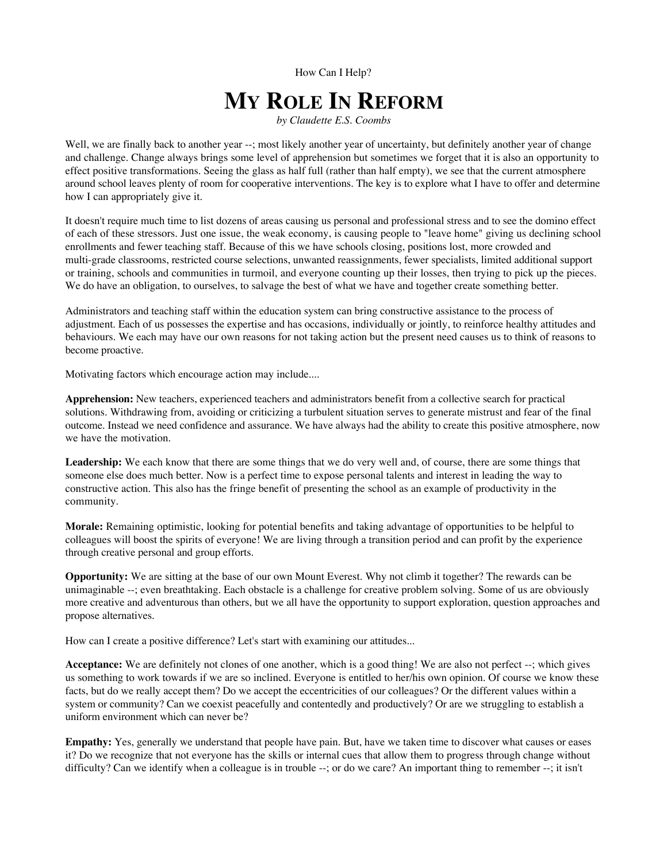How Can I Help?

## **MY ROLE IN REFORM**

*by Claudette E.S. Coombs*

Well, we are finally back to another year --; most likely another year of uncertainty, but definitely another year of change and challenge. Change always brings some level of apprehension but sometimes we forget that it is also an opportunity to effect positive transformations. Seeing the glass as half full (rather than half empty), we see that the current atmosphere around school leaves plenty of room for cooperative interventions. The key is to explore what I have to offer and determine how I can appropriately give it.

It doesn't require much time to list dozens of areas causing us personal and professional stress and to see the domino effect of each of these stressors. Just one issue, the weak economy, is causing people to "leave home" giving us declining school enrollments and fewer teaching staff. Because of this we have schools closing, positions lost, more crowded and multi-grade classrooms, restricted course selections, unwanted reassignments, fewer specialists, limited additional support or training, schools and communities in turmoil, and everyone counting up their losses, then trying to pick up the pieces. We do have an obligation, to ourselves, to salvage the best of what we have and together create something better.

Administrators and teaching staff within the education system can bring constructive assistance to the process of adjustment. Each of us possesses the expertise and has occasions, individually or jointly, to reinforce healthy attitudes and behaviours. We each may have our own reasons for not taking action but the present need causes us to think of reasons to become proactive.

Motivating factors which encourage action may include....

**Apprehension:** New teachers, experienced teachers and administrators benefit from a collective search for practical solutions. Withdrawing from, avoiding or criticizing a turbulent situation serves to generate mistrust and fear of the final outcome. Instead we need confidence and assurance. We have always had the ability to create this positive atmosphere, now we have the motivation.

**Leadership:** We each know that there are some things that we do very well and, of course, there are some things that someone else does much better. Now is a perfect time to expose personal talents and interest in leading the way to constructive action. This also has the fringe benefit of presenting the school as an example of productivity in the community.

**Morale:** Remaining optimistic, looking for potential benefits and taking advantage of opportunities to be helpful to colleagues will boost the spirits of everyone! We are living through a transition period and can profit by the experience through creative personal and group efforts.

**Opportunity:** We are sitting at the base of our own Mount Everest. Why not climb it together? The rewards can be unimaginable --; even breathtaking. Each obstacle is a challenge for creative problem solving. Some of us are obviously more creative and adventurous than others, but we all have the opportunity to support exploration, question approaches and propose alternatives.

How can I create a positive difference? Let's start with examining our attitudes...

**Acceptance:** We are definitely not clones of one another, which is a good thing! We are also not perfect --; which gives us something to work towards if we are so inclined. Everyone is entitled to her/his own opinion. Of course we know these facts, but do we really accept them? Do we accept the eccentricities of our colleagues? Or the different values within a system or community? Can we coexist peacefully and contentedly and productively? Or are we struggling to establish a uniform environment which can never be?

**Empathy:** Yes, generally we understand that people have pain. But, have we taken time to discover what causes or eases it? Do we recognize that not everyone has the skills or internal cues that allow them to progress through change without difficulty? Can we identify when a colleague is in trouble --; or do we care? An important thing to remember --; it isn't